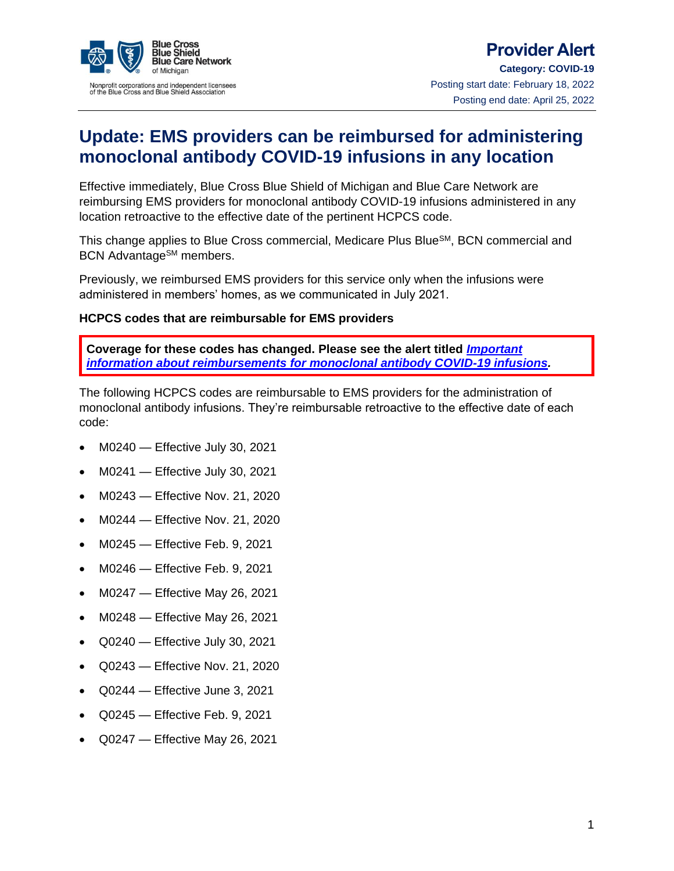

## **Provider Alert Category: COVID-19** Posting start date: February 18, 2022 Posting end date: April 25, 2022

# **Update: EMS providers can be reimbursed for administering monoclonal antibody COVID-19 infusions in any location**

Effective immediately, Blue Cross Blue Shield of Michigan and Blue Care Network are reimbursing EMS providers for monoclonal antibody COVID-19 infusions administered in any location retroactive to the effective date of the pertinent HCPCS code.

This change applies to Blue Cross commercial, Medicare Plus Blue<sup>SM</sup>, BCN commercial and BCN Advantage<sup>SM</sup> members.

Previously, we reimbursed EMS providers for this service only when the infusions were administered in members' homes, as we communicated in July 2021.

### **HCPCS codes that are reimbursable for EMS providers**

**Coverage for these codes has changed. Please see the alert titled** *[Important](https://www.bcbsm.com/content/dam/public/shared/documents/coronavirus/provider/alerts/important-information-about-reimbursements-for-monoclonal-antibody-covid-19-infusions.pdf)  [information about reimbursements for monoclonal antibody COVID-19 infusions.](https://www.bcbsm.com/content/dam/public/shared/documents/coronavirus/provider/alerts/important-information-about-reimbursements-for-monoclonal-antibody-covid-19-infusions.pdf)*

The following HCPCS codes are reimbursable to EMS providers for the administration of monoclonal antibody infusions. They're reimbursable retroactive to the effective date of each code:

- M0240 Effective July 30, 2021
- M0241 Effective July 30, 2021
- M0243 Effective Nov. 21, 2020
- M0244 Effective Nov. 21, 2020
- M0245 Effective Feb. 9, 2021
- M0246 Effective Feb. 9, 2021
- M0247 Effective May 26, 2021
- M0248 Effective May 26, 2021
- Q0240 Effective July 30, 2021
- Q0243 Effective Nov. 21, 2020
- Q0244 Effective June 3, 2021
- Q0245 Effective Feb. 9, 2021
- Q0247 Effective May 26, 2021